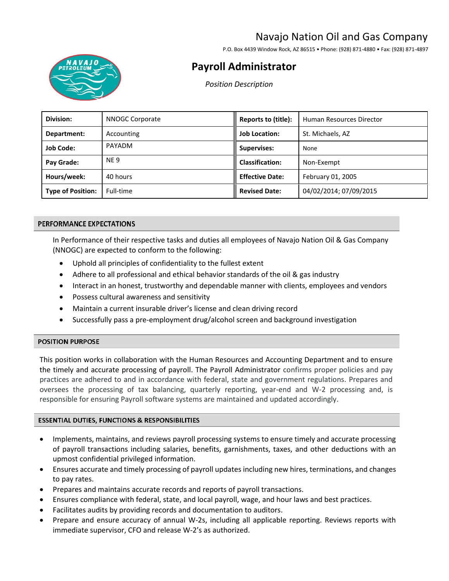# Navajo Nation Oil and Gas Company

P.O. Box 4439 Window Rock, AZ 86515 • Phone: (928) 871-4880 • Fax: (928) 871-4897



# **Payroll Administrator**

*Position Description* 

| Division:                | NNOGC Corporate | Reports to (title):    | Human Resources Director |
|--------------------------|-----------------|------------------------|--------------------------|
| Department:              | Accounting      | <b>Job Location:</b>   | St. Michaels, AZ         |
| <b>Job Code:</b>         | <b>PAYADM</b>   | <b>Supervises:</b>     | None                     |
| Pay Grade:               | <b>NE9</b>      | <b>Classification:</b> | Non-Exempt               |
| Hours/week:              | 40 hours        | <b>Effective Date:</b> | February 01, 2005        |
| <b>Type of Position:</b> | Full-time       | <b>Revised Date:</b>   | 04/02/2014; 07/09/2015   |

### PERFORMANCE EXPECTATIONS

In Performance of their respective tasks and duties all employees of Navajo Nation Oil & Gas Company (NNOGC) are expected to conform to the following:

- Uphold all principles of confidentiality to the fullest extent
- Adhere to all professional and ethical behavior standards of the oil & gas industry
- Interact in an honest, trustworthy and dependable manner with clients, employees and vendors
- Possess cultural awareness and sensitivity
- Maintain a current insurable driver's license and clean driving record
- Successfully pass a pre-employment drug/alcohol screen and background investigation

#### **POSITION PURPOSE**

This position works in collaboration with the Human Resources and Accounting Department and to ensure the timely and accurate processing of payroll. The Payroll Administrator confirms proper policies and pay practices are adhered to and in accordance with federal, state and government regulations. Prepares and oversees the processing of tax balancing, quarterly reporting, year-end and W-2 processing and, is responsible for ensuring Payroll software systems are maintained and updated accordingly.

# **ESSENTIAL DUTIES, FUNCTIONS & RESPONSIBILITIES**

- Implements, maintains, and reviews payroll processing systems to ensure timely and accurate processing of payroll transactions including salaries, benefits, garnishments, taxes, and other deductions with an upmost confidential privileged information.
- Ensures accurate and timely processing of payroll updates including new hires, terminations, and changes to pay rates.
- Prepares and maintains accurate records and reports of payroll transactions.
- Ensures compliance with federal, state, and local payroll, wage, and hour laws and best practices.
- Facilitates audits by providing records and documentation to auditors.
- Prepare and ensure accuracy of annual W-2s, including all applicable reporting. Reviews reports with immediate supervisor, CFO and release W-2's as authorized.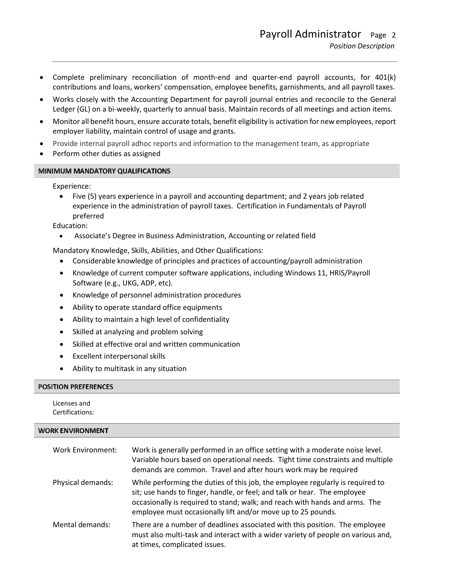- Complete preliminary reconciliation of month-end and quarter-end payroll accounts, for 401(k) contributions and loans, workers' compensation, employee benefits, garnishments, and all payroll taxes.
- Works closely with the Accounting Department for payroll journal entries and reconcile to the General Ledger (GL) on a bi-weekly, quarterly to annual basis. Maintain records of all meetings and action items.
- Monitor all benefit hours, ensure accurate totals, benefit eligibility is activation for new employees, report employer liability, maintain control of usage and grants.
- Provide internal payroll adhoc reports and information to the management team, as appropriate
- Perform other duties as assigned

# MINIMUM MANDATORY QUALIFICATIONS

Experience:

• Five (5) years experience in a payroll and accounting department; and 2 years job related experience in the administration of payroll taxes. Certification in Fundamentals of Payroll preferred

Education:

• Associate's Degree in Business Administration, Accounting or related field

Mandatory Knowledge, Skills, Abilities, and Other Qualifications:

- Considerable knowledge of principles and practices of accounting/payroll administration
- Knowledge of current computer software applications, including Windows 11, HRIS/Payroll Software (e.g., UKG, ADP, etc).
- Knowledge of personnel administration procedures
- Ability to operate standard office equipments
- Ability to maintain a high level of confidentiality
- Skilled at analyzing and problem solving
- Skilled at effective oral and written communication
- Excellent interpersonal skills
- Ability to multitask in any situation

#### **POSITION PREFERENCES**

Licenses and Certifications:

#### **WORK ENVIRONMENT**

| Work Environment: | Work is generally performed in an office setting with a moderate noise level.<br>Variable hours based on operational needs. Tight time constraints and multiple<br>demands are common. Travel and after hours work may be required                                                                         |
|-------------------|------------------------------------------------------------------------------------------------------------------------------------------------------------------------------------------------------------------------------------------------------------------------------------------------------------|
| Physical demands: | While performing the duties of this job, the employee regularly is required to<br>sit; use hands to finger, handle, or feel; and talk or hear. The employee<br>occasionally is required to stand; walk; and reach with hands and arms. The<br>employee must occasionally lift and/or move up to 25 pounds. |
| Mental demands:   | There are a number of deadlines associated with this position. The employee<br>must also multi-task and interact with a wider variety of people on various and,<br>at times, complicated issues.                                                                                                           |